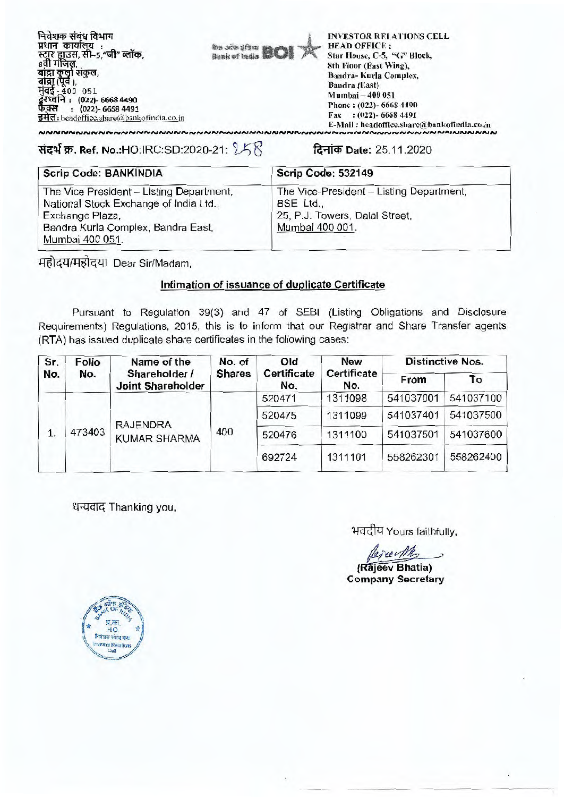**निवेशक संबंध विभाग प्रधान कार्यालय** : <del>स्</del>ट्रार ह्यूउस, सी–5,"जी" । बांद्रा कुर्ला संकुल,<br>बांद्रा (पूर्व ),<br>मुंबई - 400 051<br>द्रुरध्वनि : (022)- 6668 4490 **फेक्स : (022)- 6668 4491** इमेल: headoffice.share@bankofindia.co.in

**mewl**  Bank of India **DWI** 

INVESTOR RELATIONS CELL HEAD OFFICE : Star House, C-5, "C" Block, 8th Floor (East Wing), Bandra- Kurla Complex, Bandra (East) Mumbai - **400 051**  Phone : (022)- 6668 4490 Fax : (022)- 6668 4491 E-Mail : headoffice.share(a bankotindia.co.in

## 3:1-4-1-1T. **Ref. No.:HO:IRC:SD:2020-21:** <sup>j</sup> j **it-irW Date: 25.11.2020**

| <b>Scrip Code: BANKINDIA</b>                                                                                                                                   | Scrip Code: 532149                                                                                         |
|----------------------------------------------------------------------------------------------------------------------------------------------------------------|------------------------------------------------------------------------------------------------------------|
| The Vice President - Listing Department,<br>National Stock Exchange of India Ltd.,<br>Exchange Plaza,<br>Bandra Kurla Complex, Bandra East,<br>Mumbai 400 051. | The Vice-President - Listing Department,<br>BSE Ltd.,<br>25, P.J. Towers, Dalal Street,<br>Mumbai 400 001. |

महोदय/महोदया Dear Sir/Madam,

## **Intimation of issuance of duplicate Certificate**

Pursuant to Regulation 39(3) and 47 of SEBI (Listing Obligations and Disclosure Requirements) Regulations, 2015, this is to inform that our Registrar and Share Transfer agents (RTA) has issued duplicate share certificates in the following cases:

| Sr.<br>No. | <b>Folio</b><br>No. | Name of the<br>Shareholder /<br><b>Joint Shareholder</b> | No. of<br><b>Shares</b> | Old<br><b>Certificate</b><br>No. | <b>New</b><br><b>Certificate</b><br>No. | <b>Distinctive Nos.</b> |           |
|------------|---------------------|----------------------------------------------------------|-------------------------|----------------------------------|-----------------------------------------|-------------------------|-----------|
|            |                     |                                                          |                         |                                  |                                         | From                    | To        |
| 1.         | 473403              | <b>RAJENDRA</b><br><b>KUMAR SHARMA</b>                   | 400                     | 520471                           | 1311098                                 | 541037001               | 541037100 |
|            |                     |                                                          |                         | 520475                           | 1311099                                 | 541037401               | 541037500 |
|            |                     |                                                          |                         | 520476                           | 1311100                                 | 541037501               | 541037600 |
|            |                     |                                                          |                         | 692724                           | 1311101                                 | 558262301               | 558262400 |

धन्यवाद Thanking you,

भवदीय Yours faithfully,

reech

**(Rajeev Bhatia) Company Secretary**